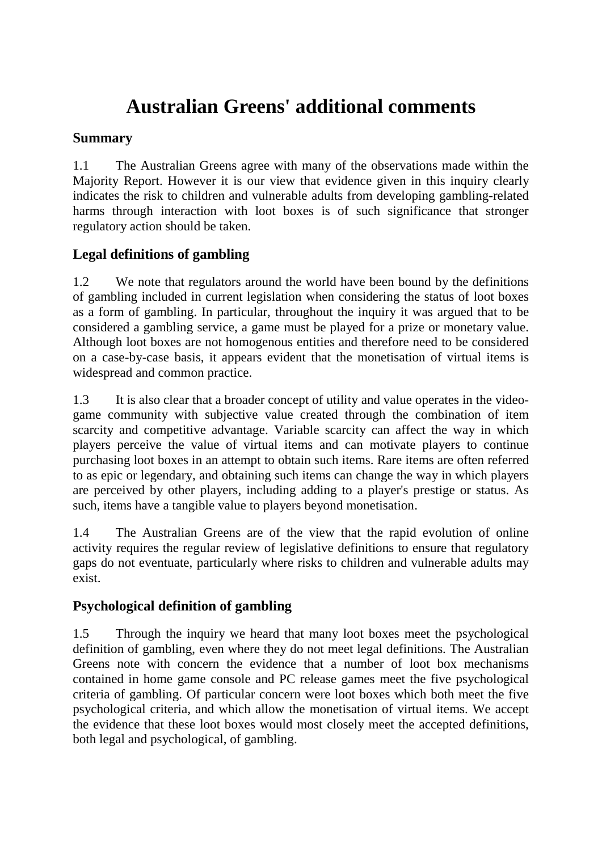# **Australian Greens' additional comments**

# **Summary**

1.1 The Australian Greens agree with many of the observations made within the Majority Report. However it is our view that evidence given in this inquiry clearly indicates the risk to children and vulnerable adults from developing gambling-related harms through interaction with loot boxes is of such significance that stronger regulatory action should be taken.

# **Legal definitions of gambling**

1.2 We note that regulators around the world have been bound by the definitions of gambling included in current legislation when considering the status of loot boxes as a form of gambling. In particular, throughout the inquiry it was argued that to be considered a gambling service, a game must be played for a prize or monetary value. Although loot boxes are not homogenous entities and therefore need to be considered on a case-by-case basis, it appears evident that the monetisation of virtual items is widespread and common practice.

1.3 It is also clear that a broader concept of utility and value operates in the videogame community with subjective value created through the combination of item scarcity and competitive advantage. Variable scarcity can affect the way in which players perceive the value of virtual items and can motivate players to continue purchasing loot boxes in an attempt to obtain such items. Rare items are often referred to as epic or legendary, and obtaining such items can change the way in which players are perceived by other players, including adding to a player's prestige or status. As such, items have a tangible value to players beyond monetisation.

1.4 The Australian Greens are of the view that the rapid evolution of online activity requires the regular review of legislative definitions to ensure that regulatory gaps do not eventuate, particularly where risks to children and vulnerable adults may exist.

# **Psychological definition of gambling**

1.5 Through the inquiry we heard that many loot boxes meet the psychological definition of gambling, even where they do not meet legal definitions. The Australian Greens note with concern the evidence that a number of loot box mechanisms contained in home game console and PC release games meet the five psychological criteria of gambling. Of particular concern were loot boxes which both meet the five psychological criteria, and which allow the monetisation of virtual items. We accept the evidence that these loot boxes would most closely meet the accepted definitions, both legal and psychological, of gambling.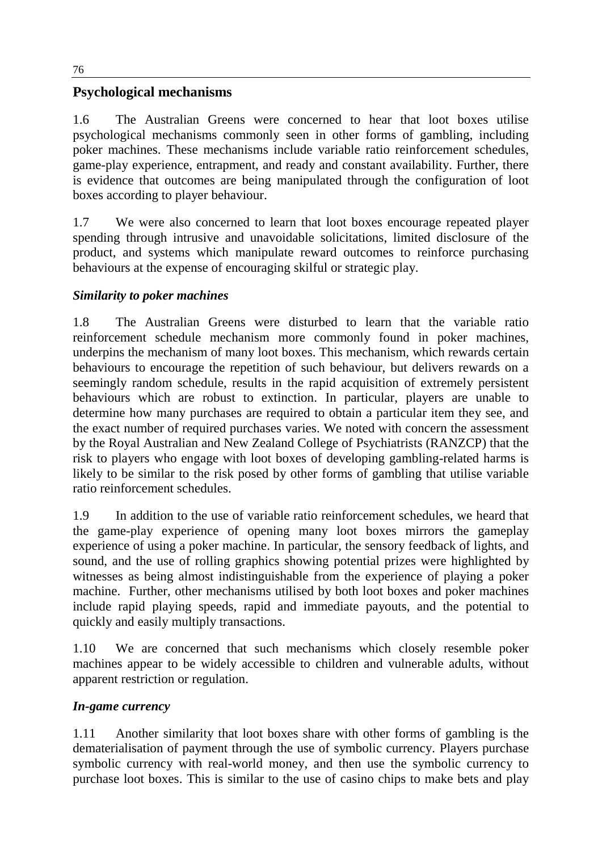# **Psychological mechanisms**

1.6 The Australian Greens were concerned to hear that loot boxes utilise psychological mechanisms commonly seen in other forms of gambling, including poker machines. These mechanisms include variable ratio reinforcement schedules, game-play experience, entrapment, and ready and constant availability. Further, there is evidence that outcomes are being manipulated through the configuration of loot boxes according to player behaviour.

1.7 We were also concerned to learn that loot boxes encourage repeated player spending through intrusive and unavoidable solicitations, limited disclosure of the product, and systems which manipulate reward outcomes to reinforce purchasing behaviours at the expense of encouraging skilful or strategic play.

## *Similarity to poker machines*

1.8 The Australian Greens were disturbed to learn that the variable ratio reinforcement schedule mechanism more commonly found in poker machines, underpins the mechanism of many loot boxes. This mechanism, which rewards certain behaviours to encourage the repetition of such behaviour, but delivers rewards on a seemingly random schedule, results in the rapid acquisition of extremely persistent behaviours which are robust to extinction. In particular, players are unable to determine how many purchases are required to obtain a particular item they see, and the exact number of required purchases varies. We noted with concern the assessment by the Royal Australian and New Zealand College of Psychiatrists (RANZCP) that the risk to players who engage with loot boxes of developing gambling-related harms is likely to be similar to the risk posed by other forms of gambling that utilise variable ratio reinforcement schedules.

1.9 In addition to the use of variable ratio reinforcement schedules, we heard that the game-play experience of opening many loot boxes mirrors the gameplay experience of using a poker machine. In particular, the sensory feedback of lights, and sound, and the use of rolling graphics showing potential prizes were highlighted by witnesses as being almost indistinguishable from the experience of playing a poker machine. Further, other mechanisms utilised by both loot boxes and poker machines include rapid playing speeds, rapid and immediate payouts, and the potential to quickly and easily multiply transactions.

1.10 We are concerned that such mechanisms which closely resemble poker machines appear to be widely accessible to children and vulnerable adults, without apparent restriction or regulation.

## *In-game currency*

1.11 Another similarity that loot boxes share with other forms of gambling is the dematerialisation of payment through the use of symbolic currency. Players purchase symbolic currency with real-world money, and then use the symbolic currency to purchase loot boxes. This is similar to the use of casino chips to make bets and play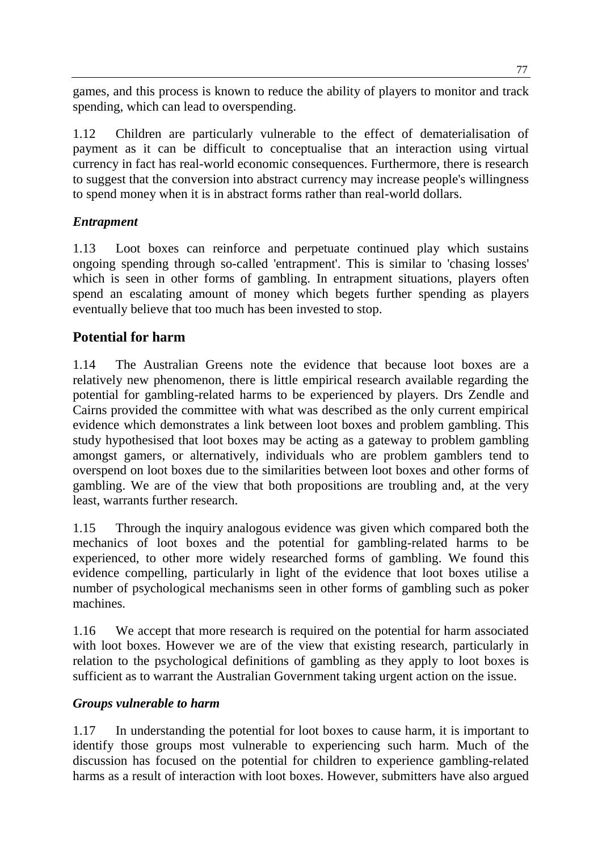games, and this process is known to reduce the ability of players to monitor and track spending, which can lead to overspending.

1.12 Children are particularly vulnerable to the effect of dematerialisation of payment as it can be difficult to conceptualise that an interaction using virtual currency in fact has real-world economic consequences. Furthermore, there is research to suggest that the conversion into abstract currency may increase people's willingness to spend money when it is in abstract forms rather than real-world dollars.

# *Entrapment*

1.13 Loot boxes can reinforce and perpetuate continued play which sustains ongoing spending through so-called 'entrapment'. This is similar to 'chasing losses' which is seen in other forms of gambling. In entrapment situations, players often spend an escalating amount of money which begets further spending as players eventually believe that too much has been invested to stop.

# **Potential for harm**

1.14 The Australian Greens note the evidence that because loot boxes are a relatively new phenomenon, there is little empirical research available regarding the potential for gambling-related harms to be experienced by players. Drs Zendle and Cairns provided the committee with what was described as the only current empirical evidence which demonstrates a link between loot boxes and problem gambling. This study hypothesised that loot boxes may be acting as a gateway to problem gambling amongst gamers, or alternatively, individuals who are problem gamblers tend to overspend on loot boxes due to the similarities between loot boxes and other forms of gambling. We are of the view that both propositions are troubling and, at the very least, warrants further research.

1.15 Through the inquiry analogous evidence was given which compared both the mechanics of loot boxes and the potential for gambling-related harms to be experienced, to other more widely researched forms of gambling. We found this evidence compelling, particularly in light of the evidence that loot boxes utilise a number of psychological mechanisms seen in other forms of gambling such as poker machines.

1.16 We accept that more research is required on the potential for harm associated with loot boxes. However we are of the view that existing research, particularly in relation to the psychological definitions of gambling as they apply to loot boxes is sufficient as to warrant the Australian Government taking urgent action on the issue.

## *Groups vulnerable to harm*

1.17 In understanding the potential for loot boxes to cause harm, it is important to identify those groups most vulnerable to experiencing such harm. Much of the discussion has focused on the potential for children to experience gambling-related harms as a result of interaction with loot boxes. However, submitters have also argued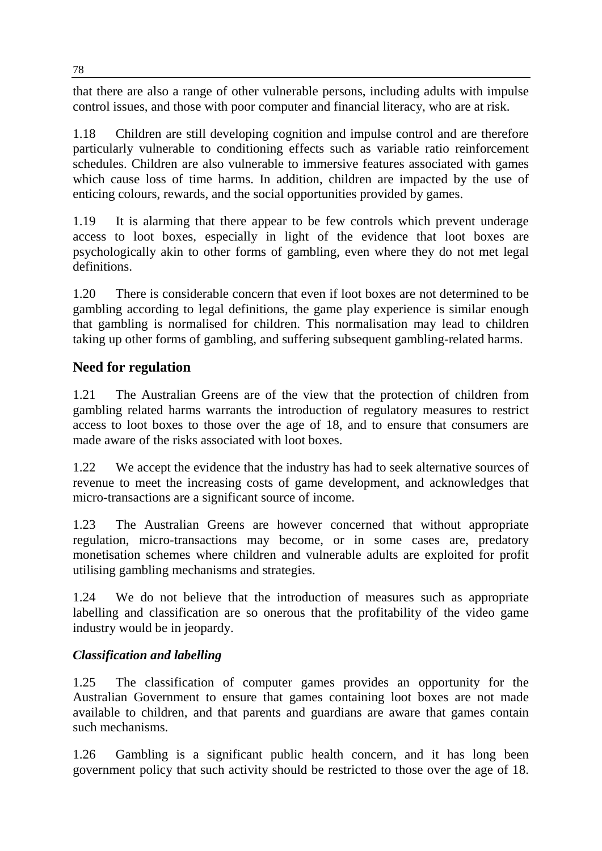that there are also a range of other vulnerable persons, including adults with impulse control issues, and those with poor computer and financial literacy, who are at risk.

1.18 Children are still developing cognition and impulse control and are therefore particularly vulnerable to conditioning effects such as variable ratio reinforcement schedules. Children are also vulnerable to immersive features associated with games which cause loss of time harms. In addition, children are impacted by the use of enticing colours, rewards, and the social opportunities provided by games.

1.19 It is alarming that there appear to be few controls which prevent underage access to loot boxes, especially in light of the evidence that loot boxes are psychologically akin to other forms of gambling, even where they do not met legal definitions.

1.20 There is considerable concern that even if loot boxes are not determined to be gambling according to legal definitions, the game play experience is similar enough that gambling is normalised for children. This normalisation may lead to children taking up other forms of gambling, and suffering subsequent gambling-related harms.

# **Need for regulation**

1.21 The Australian Greens are of the view that the protection of children from gambling related harms warrants the introduction of regulatory measures to restrict access to loot boxes to those over the age of 18, and to ensure that consumers are made aware of the risks associated with loot boxes.

1.22 We accept the evidence that the industry has had to seek alternative sources of revenue to meet the increasing costs of game development, and acknowledges that micro-transactions are a significant source of income.

1.23 The Australian Greens are however concerned that without appropriate regulation, micro-transactions may become, or in some cases are, predatory monetisation schemes where children and vulnerable adults are exploited for profit utilising gambling mechanisms and strategies.

1.24 We do not believe that the introduction of measures such as appropriate labelling and classification are so onerous that the profitability of the video game industry would be in jeopardy.

## *Classification and labelling*

1.25 The classification of computer games provides an opportunity for the Australian Government to ensure that games containing loot boxes are not made available to children, and that parents and guardians are aware that games contain such mechanisms.

1.26 Gambling is a significant public health concern, and it has long been government policy that such activity should be restricted to those over the age of 18.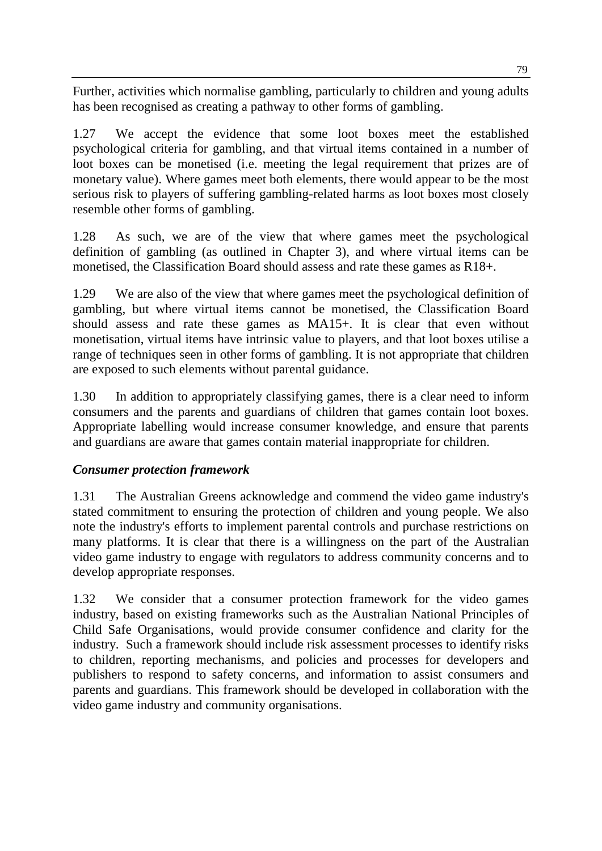Further, activities which normalise gambling, particularly to children and young adults has been recognised as creating a pathway to other forms of gambling.

1.27 We accept the evidence that some loot boxes meet the established psychological criteria for gambling, and that virtual items contained in a number of loot boxes can be monetised (i.e. meeting the legal requirement that prizes are of monetary value). Where games meet both elements, there would appear to be the most serious risk to players of suffering gambling-related harms as loot boxes most closely resemble other forms of gambling.

1.28 As such, we are of the view that where games meet the psychological definition of gambling (as outlined in Chapter 3), and where virtual items can be monetised, the Classification Board should assess and rate these games as R18+.

1.29 We are also of the view that where games meet the psychological definition of gambling, but where virtual items cannot be monetised, the Classification Board should assess and rate these games as MA15+. It is clear that even without monetisation, virtual items have intrinsic value to players, and that loot boxes utilise a range of techniques seen in other forms of gambling. It is not appropriate that children are exposed to such elements without parental guidance.

1.30 In addition to appropriately classifying games, there is a clear need to inform consumers and the parents and guardians of children that games contain loot boxes. Appropriate labelling would increase consumer knowledge, and ensure that parents and guardians are aware that games contain material inappropriate for children.

## *Consumer protection framework*

1.31 The Australian Greens acknowledge and commend the video game industry's stated commitment to ensuring the protection of children and young people. We also note the industry's efforts to implement parental controls and purchase restrictions on many platforms. It is clear that there is a willingness on the part of the Australian video game industry to engage with regulators to address community concerns and to develop appropriate responses.

1.32 We consider that a consumer protection framework for the video games industry, based on existing frameworks such as the Australian National Principles of Child Safe Organisations, would provide consumer confidence and clarity for the industry. Such a framework should include risk assessment processes to identify risks to children, reporting mechanisms, and policies and processes for developers and publishers to respond to safety concerns, and information to assist consumers and parents and guardians. This framework should be developed in collaboration with the video game industry and community organisations.